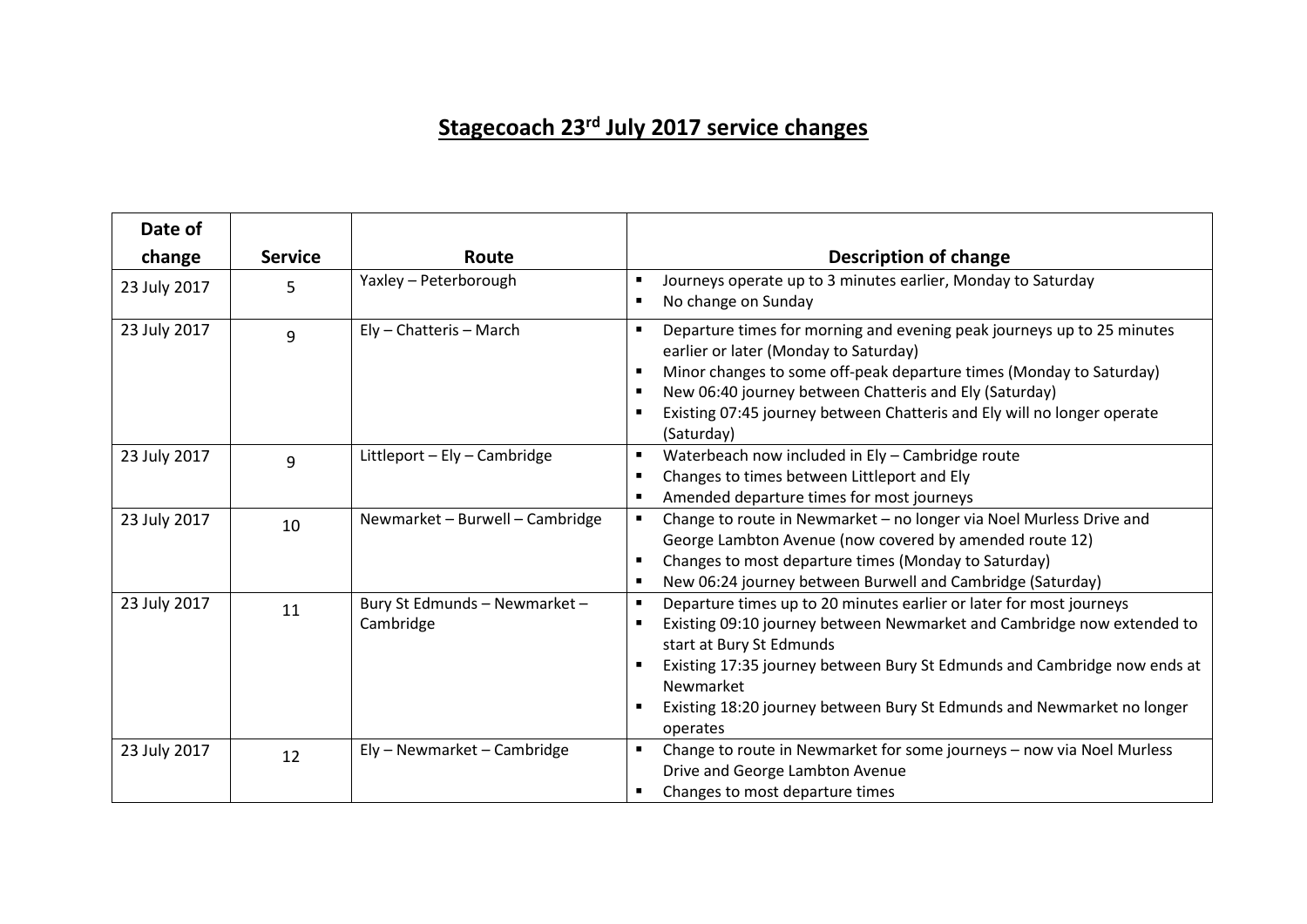## **Stagecoach 23rd July 2017 service changes**

| Date of      |                |                                            |                                                                                                                                                                                                                                                                                                                                                                            |
|--------------|----------------|--------------------------------------------|----------------------------------------------------------------------------------------------------------------------------------------------------------------------------------------------------------------------------------------------------------------------------------------------------------------------------------------------------------------------------|
| change       | <b>Service</b> | Route                                      | <b>Description of change</b>                                                                                                                                                                                                                                                                                                                                               |
| 23 July 2017 | 5              | Yaxley - Peterborough                      | Journeys operate up to 3 minutes earlier, Monday to Saturday<br>No change on Sunday                                                                                                                                                                                                                                                                                        |
| 23 July 2017 | 9              | Ely - Chatteris - March                    | Departure times for morning and evening peak journeys up to 25 minutes<br>earlier or later (Monday to Saturday)<br>Minor changes to some off-peak departure times (Monday to Saturday)<br>New 06:40 journey between Chatteris and Ely (Saturday)<br>$\blacksquare$<br>Existing 07:45 journey between Chatteris and Ely will no longer operate<br>(Saturday)                |
| 23 July 2017 | 9              | Littleport - Ely - Cambridge               | Waterbeach now included in Ely - Cambridge route<br>$\blacksquare$<br>Changes to times between Littleport and Ely<br>Amended departure times for most journeys                                                                                                                                                                                                             |
| 23 July 2017 | 10             | Newmarket - Burwell - Cambridge            | Change to route in Newmarket - no longer via Noel Murless Drive and<br>George Lambton Avenue (now covered by amended route 12)<br>Changes to most departure times (Monday to Saturday)<br>New 06:24 journey between Burwell and Cambridge (Saturday)<br>$\blacksquare$                                                                                                     |
| 23 July 2017 | 11             | Bury St Edmunds - Newmarket -<br>Cambridge | Departure times up to 20 minutes earlier or later for most journeys<br>$\blacksquare$<br>Existing 09:10 journey between Newmarket and Cambridge now extended to<br>start at Bury St Edmunds<br>Existing 17:35 journey between Bury St Edmunds and Cambridge now ends at<br>Newmarket<br>Existing 18:20 journey between Bury St Edmunds and Newmarket no longer<br>operates |
| 23 July 2017 | 12             | Ely - Newmarket - Cambridge                | Change to route in Newmarket for some journeys - now via Noel Murless<br>Drive and George Lambton Avenue<br>Changes to most departure times                                                                                                                                                                                                                                |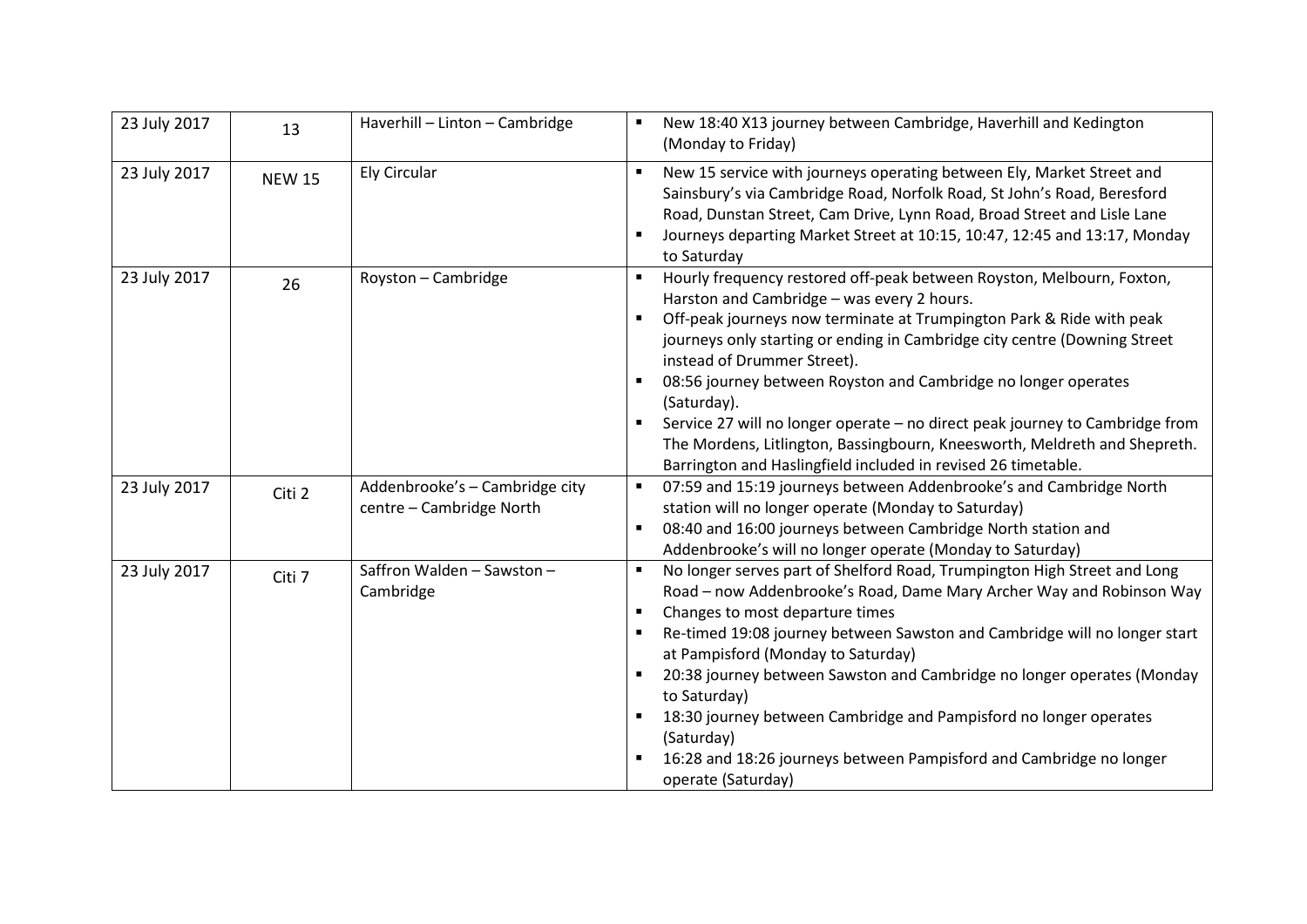| 23 July 2017 | 13            | Haverhill - Linton - Cambridge                             | New 18:40 X13 journey between Cambridge, Haverhill and Kedington<br>(Monday to Friday)                                                                                                                                                                                                                                                                                                                                                                                                                                                                                                                                 |  |  |
|--------------|---------------|------------------------------------------------------------|------------------------------------------------------------------------------------------------------------------------------------------------------------------------------------------------------------------------------------------------------------------------------------------------------------------------------------------------------------------------------------------------------------------------------------------------------------------------------------------------------------------------------------------------------------------------------------------------------------------------|--|--|
| 23 July 2017 | <b>NEW 15</b> | <b>Ely Circular</b>                                        | New 15 service with journeys operating between Ely, Market Street and<br>$\blacksquare$<br>Sainsbury's via Cambridge Road, Norfolk Road, St John's Road, Beresford<br>Road, Dunstan Street, Cam Drive, Lynn Road, Broad Street and Lisle Lane<br>Journeys departing Market Street at 10:15, 10:47, 12:45 and 13:17, Monday<br>to Saturday                                                                                                                                                                                                                                                                              |  |  |
| 23 July 2017 | 26            | Royston - Cambridge                                        | Hourly frequency restored off-peak between Royston, Melbourn, Foxton,<br>Harston and Cambridge - was every 2 hours.<br>Off-peak journeys now terminate at Trumpington Park & Ride with peak<br>journeys only starting or ending in Cambridge city centre (Downing Street<br>instead of Drummer Street).<br>08:56 journey between Royston and Cambridge no longer operates<br>(Saturday).<br>Service 27 will no longer operate - no direct peak journey to Cambridge from<br>The Mordens, Litlington, Bassingbourn, Kneesworth, Meldreth and Shepreth.<br>Barrington and Haslingfield included in revised 26 timetable. |  |  |
| 23 July 2017 | Citi 2        | Addenbrooke's - Cambridge city<br>centre - Cambridge North | 07:59 and 15:19 journeys between Addenbrooke's and Cambridge North<br>station will no longer operate (Monday to Saturday)<br>08:40 and 16:00 journeys between Cambridge North station and<br>Addenbrooke's will no longer operate (Monday to Saturday)                                                                                                                                                                                                                                                                                                                                                                 |  |  |
| 23 July 2017 | Citi 7        | Saffron Walden - Sawston -<br>Cambridge                    | No longer serves part of Shelford Road, Trumpington High Street and Long<br>$\blacksquare$<br>Road - now Addenbrooke's Road, Dame Mary Archer Way and Robinson Way<br>Changes to most departure times<br>$\blacksquare$<br>Re-timed 19:08 journey between Sawston and Cambridge will no longer start<br>at Pampisford (Monday to Saturday)<br>20:38 journey between Sawston and Cambridge no longer operates (Monday<br>to Saturday)<br>18:30 journey between Cambridge and Pampisford no longer operates<br>(Saturday)<br>16:28 and 18:26 journeys between Pampisford and Cambridge no longer<br>operate (Saturday)   |  |  |